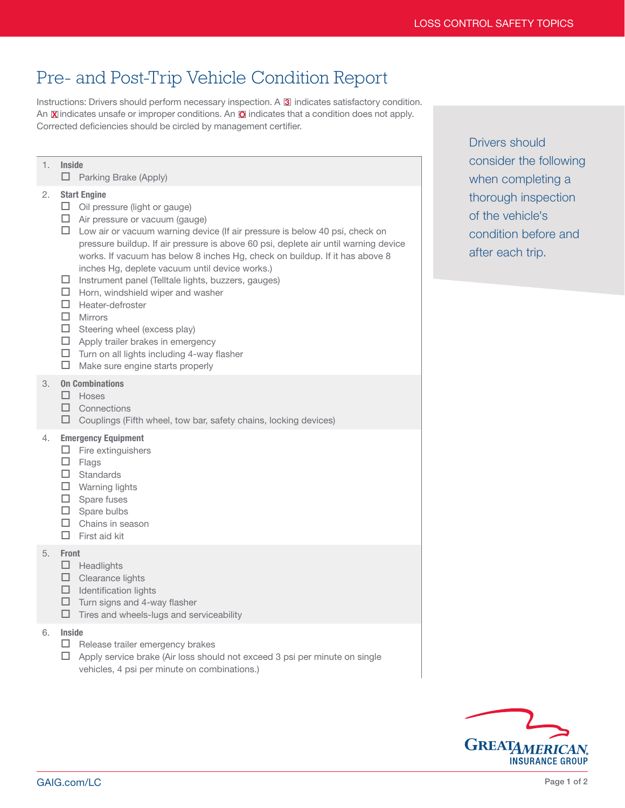## Pre- and Post-Trip Vehicle Condition Report

Instructions: Drivers should perform necessary inspection. A **3** indicates satisfactory condition. An  $\mathbb X$  indicates unsafe or improper conditions. An  $\mathbb O$  indicates that a condition does not apply. Corrected deficiencies should be circled by management certifier.

## 1. Inside  $\Box$  Parking Brake (Apply) 2. Start Engine  $\Box$  Oil pressure (light or gauge)  $\Box$  Air pressure or vacuum (gauge)  $\Box$  Low air or vacuum warning device (If air pressure is below 40 psi, check on pressure buildup. If air pressure is above 60 psi, deplete air until warning device works. If vacuum has below 8 inches Hg, check on buildup. If it has above 8 inches Hg, deplete vacuum until device works.)  $\square$  Instrument panel (Telltale lights, buzzers, gauges)  $\Box$  Horn, windshield wiper and washer  $\Box$  Heater-defroster  $\Box$  Mirrors  $\Box$  Steering wheel (excess play)  $\Box$  Apply trailer brakes in emergency  $\Box$  Turn on all lights including 4-way flasher  $\Box$  Make sure engine starts properly 3. On Combinations  $\Box$  Hoses  $\square$  Connections  $\Box$  Couplings (Fifth wheel, tow bar, safety chains, locking devices) 4. Emergency Equipment  $\Box$  Fire extinguishers  $\square$  Flags  $\square$  Standards  $\Box$  Warning lights  $\square$  Spare fuses  $\square$  Spare bulbs  $\Box$  Chains in season  $\square$  First aid kit 5. Front  $\Box$  Headlights  $\square$  Clearance lights  $\Box$  Identification lights  $\Box$  Turn signs and 4-way flasher  $\Box$  Tires and wheels-lugs and serviceability 6. Inside  $\Box$  Release trailer emergency brakes  $\Box$  Apply service brake (Air loss should not exceed 3 psi per minute on single vehicles, 4 psi per minute on combinations.)

Drivers should consider the following when completing a thorough inspection of the vehicle's condition before and after each trip.